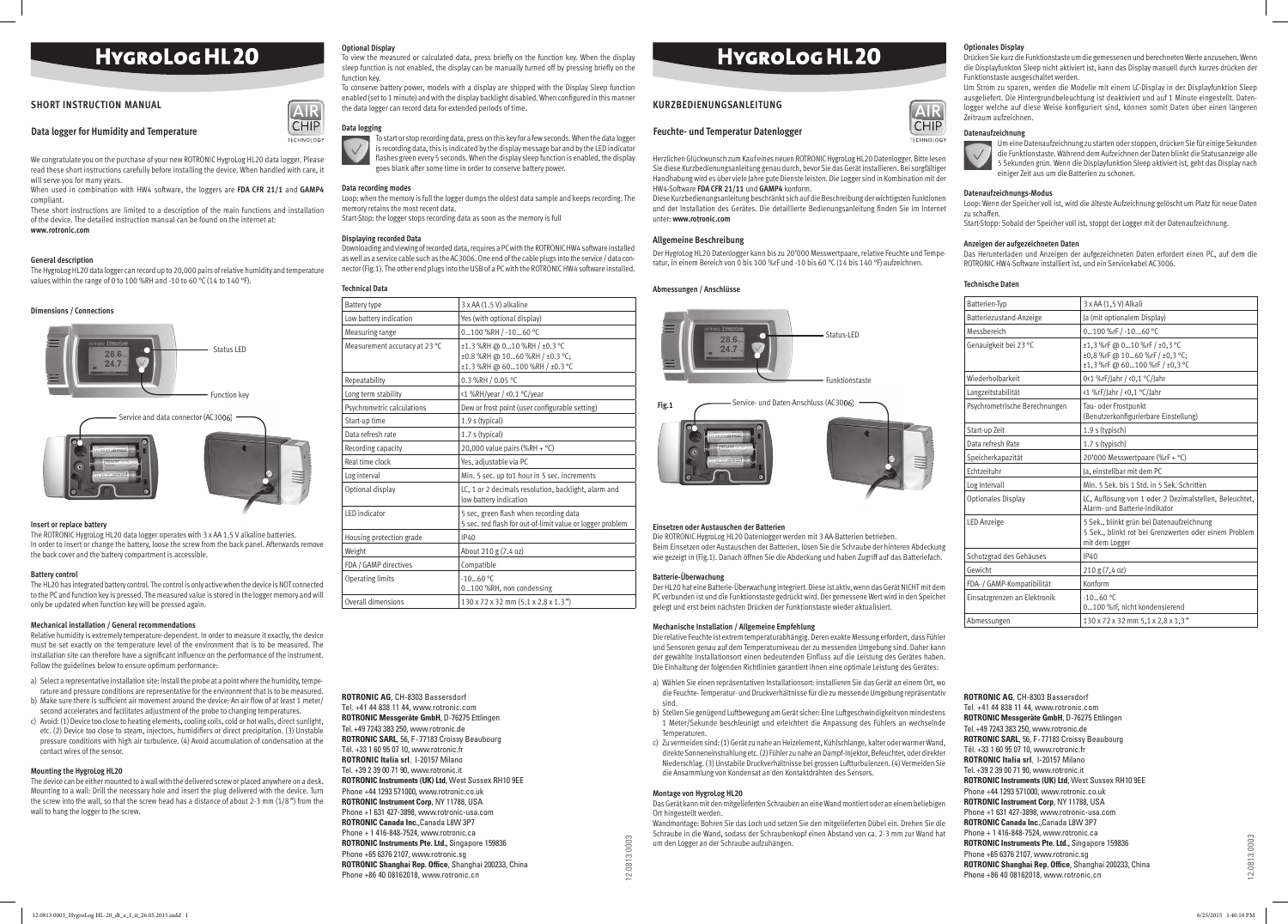12.0813.0003 12.0813.0003

2.0813.0003 12.0813.0003

The HygroLog HL20 data logger can record up to 20,000 pairs of relative humidity and temperature values within the range of 0 to 100 %RH and -10 to 60 °C (14 to 140 °F).

> **ROTRONIC AG**, CH-8303 Bassersdorf Tel. +41 44 838 11 44, www.rotronic.com **ROTRONIC Messgeräte GmbH**, D-76275 Ettlingen Tel. +49 7243 383 250, www.rotronic.de **ROTRONIC SARL**, 56, F - 77183 Croissy Beaubourg Tél. +33 1 60 95 07 10, www.rotronic.fr **ROTRONIC Italia srl**, I-20157 Milano Tel. +39 2 39 00 71 90, www.rotronic.it **ROTRONIC Instruments (UK) Ltd**, West Sussex RH10 9EE Phone +44 1293 571000, www.rotronic.co.uk **ROTRONIC Instrument Corp, NY 11788, USA** Phone +1 631 427-3898, www.rotronic-usa.com **ROTRONIC Canada Inc.**,Canada L8W 3P7  $Phone + 1416-848-7524$ , www.rotronic.ca **ROTRONIC Instruments Pte. Ltd.,** Singapore 159836 Phone +65 6376 2107, www.rotronic.sg **ROTRONIC Shanghai Rep. Office, Shanghai 200233, China** Phone +86 40 08162018, www.rotronic.cn

# **HYGROLOGHL20**





# **HYGROLOGHL20**

We congratulate you on the purchase of your new ROTRONIC HygroLog HL20 data logger. Please read these short instructions carefully before installing the device. When handled with care, it will serve you for many years.

When used in combination with HW4 software, the loggers are **FDA CFR 21/1** and **GAMP4** compliant.

These short instructions are limited to a description of the main functions and installation of the device. The detailed instruction manual can be found on the internet at: **www.rotronic.com**

# **General description**

#### **Dimensions / Connections**

Herzlichen Glückwunsch zum Kauf eines neuen ROTRONIC HygroLog HL20 Datenlogger. Bitte lesen Sie diese Kurzbedienungsanleitung genau durch, bevor Sie das Gerät installieren. Bei sorgfältiger Handhabung wird es über viele Jahre gute Dienste leisten. Die Logger sind in Kombination mit der HW4-Software **FDA CFR 21/11** und **GAMP4** konform.

Diese Kurzbedienungsanleitung beschränkt sich auf die Beschreibung der wichtigsten Funktionen und der Installation des Gerätes. Die detaillierte Bedienungsanleitung finden Sie im Internet unter: **www.rotronic.com**

#### **Allgemeine Beschreibung**

Der HygroLog HL20 Datenlogger kann bis zu 20'000 Messwertpaare, relative Feuchte und Temperatur, in einem Bereich von 0 bis 100 %rF und -10 bis 60 °C (14 bis 140 °F) aufzeichnen.

# **Abmessungen / Anschlüsse**

| Battery type                  | 3 x AA (1.5 V) alkaline                                                                             |  |  |
|-------------------------------|-----------------------------------------------------------------------------------------------------|--|--|
| Low battery indication        | Yes (with optional display)                                                                         |  |  |
| Measuring range               | 0100 %RH / -1060 °C                                                                                 |  |  |
| Measurement accuracy at 23 °C | ±1.3 %RH @ 010 %RH / ±0.3 °C<br>±0.8 %RH @ 1060 %RH / ±0.3 °C;<br>±1.3 %RH @ 60100 %RH / ±0.3 °C    |  |  |
| Repeatability                 | 0.3 %RH / 0.05 °C                                                                                   |  |  |
| Long term stability           | <1 %RH/year / <0.1 °C/year                                                                          |  |  |
| Psychrometric calculations    | Dew or frost point (user configurable setting)                                                      |  |  |
| Start-up time                 | 1.9 s (typical)                                                                                     |  |  |
| Data refresh rate             | 1.7 s (typical)                                                                                     |  |  |
| Recording capacity            | 20,000 value pairs (%RH + $^{\circ}$ C)                                                             |  |  |
| Real time clock               | Yes, adjustable via PC                                                                              |  |  |
| Log interval                  | Min. 5 sec. up to1 hour in 5 sec. increments                                                        |  |  |
| Optional display              | LC, 1 or 2 decimals resolution, backlight, alarm and<br>low battery indication                      |  |  |
| LED indicator                 | 5 sec, green flash when recording data<br>5 sec. red flash for out-of-limit value or logger problem |  |  |
| Housing protection grade      | IP40                                                                                                |  |  |
| Weight                        | About 210 g (7.4 oz)                                                                                |  |  |
| FDA / GAMP directives         | Compatible                                                                                          |  |  |
| Operating limits              | $-1060 °C$<br>0100 %RH, non condensing                                                              |  |  |
| Overall dimensions            | 130 x 72 x 32 mm (5.1 x 2.8 x 1.3")                                                                 |  |  |

Service- und Daten-Anschluss (AC3006) **Fig.1**



**ROTRONIC AG**, CH-8303 Bassersdorf Tel. +41 44 838 11 44, www.rotronic.com **ROTRONIC Messgeräte GmbH**, D-76275 Ettlingen Tel. +49 7243 383 250, www.rotronic.de **ROTRONIC SARL**, 56, F - 77183 Croissy Beaubourg Tél. +33 1 60 95 07 10, www.rotronic.fr **ROTRONIC Italia srl**, I-20157 Milano Tel. +39 2 39 00 71 90, www.rotronic.it **ROTRONIC Instruments (UK) Ltd**, West Sussex RH10 9EE Phone +44 1293 571000, www.rotronic.co.uk **ROTRONIC Instrument Corp**, NY 11788, USA Phone +1 631 427-3898, www.rotronic-usa.com **ROTRONIC Canada Inc.**,Canada L8W 3P7 Phone  $+1$  416-848-7524, www.rotronic.ca **ROTRONIC Instruments Pte. Ltd.,** Singapore 159836 Phone +65 6376 2107, www.rotronic.sg **ROTRONIC Shanghai Rep. Office, Shanghai 200233, China** Phone +86 40 08162018, www.rotronic.cn b) Stellen Sie genügend Luftbewegung am Gerät sicher: Eine Luftgeschwindigkeit von mindestens 1 Meter/Sekunde beschleunigt und erleichtert die Anpassung des Fühlers an wechselnde c) Zu vermeiden sind: (1) Gerät zu nahe an Heizelement, Kühlschlange, kalter oder warmer Wand, direkte Sonneneinstrahlung etc. (2) Fühler zu nahe an Dampf-Injektor, Befeuchter, oder direkter Niederschlag. (3) Unstabile Druckverhältnisse bei grossen Luftturbulenzen. (4) Vermeiden Sie **Montage von HygroLog HL20** Das Gerät kann mit den mitgelieferten Schrauben an eine Wand montiert oder an einem beliebigen Ort hingestellt werden. Wandmontage: Bohren Sie das Loch und setzen Sie den mitgelieferten Dübel ein. Drehen Sie die Schraube in die Wand, sodass der Schraubenkopf einen Abstand von ca. 2-3 mm zur Wand hat um den Logger an der Schraube aufzuhängen.

| Batterien-Typ                 | 3 x AA (1,5 V) Alkali                                                                                                |  |
|-------------------------------|----------------------------------------------------------------------------------------------------------------------|--|
| Batteriezustand-Anzeige       | Ja (mit optionalem Display)                                                                                          |  |
| Messhereich                   | 0100 %rF / -1060 °C                                                                                                  |  |
| Genauigkeit bei 23 °C         | ±1,3 %rF @ 010 %rF / ±0,3 °C<br>±0,8 %rF @ 1060 %rF / ±0,3 °C;<br>±1,3 %rF @ 60100 %rF / ±0,3 °C                     |  |
| Wiederholbarkeit              | 0<1 %rF/Jahr / <0,1 °C/Jahr                                                                                          |  |
| Langzeitstabilität            | <1 %rF/Jahr / <0,1 °C/Jahr                                                                                           |  |
| Psychrometrische Berechnungen | Tau- oder Frostpunkt<br>(Benutzerkonfigurierbare Einstellung)                                                        |  |
| Start-up Zeit                 | 1.9 s (typisch)                                                                                                      |  |
| Data refresh Rate             | 1.7 s (typisch)                                                                                                      |  |
| Speicherkapazität             | 20'000 Messwertpaare (%rF + °C)                                                                                      |  |
| Echtzeituhr                   | Ja, einstellbar mit dem PC                                                                                           |  |
| Log Intervall                 | Min. 5 Sek. bis 1 Std. in 5 Sek. Schritten                                                                           |  |
| Optionales Display            | LC, Auflösung von 1 oder 2 Dezimalstellen, Beleuchtet,<br>Alarm- und Batterie-Indikator                              |  |
| <b>LED Anzeige</b>            | 5 Sek., blinkt grün bei Datenaufzeichnung<br>5 Sek., blinkt rot bei Grenzwerten oder einem Problem<br>mit dem Logger |  |
| Schutzgrad des Gehäuses       | IP40                                                                                                                 |  |
| Gewicht                       | 210 g (7, 4 oz)                                                                                                      |  |
| FDA- / GAMP-Kompatibilität    | Konform                                                                                                              |  |
| Einsatzgrenzen an Elektronik  | $-1060$ °C<br>0100 %rF, nicht kondensierend                                                                          |  |
| Abmessungen                   | 130 x 72 x 32 mm 5,1 x 2,8 x 1,3"                                                                                    |  |

To view the measured or calculated data, press briefly on the function key. When the display sleep function is not enabled, the display can be manually turned off by pressing briefly on the function key.

SHORT INSTRUCTION MANUAL *CHORT* the data logger can record data for extended periods of time. **KURZBEDIENUNGSANLEITUNG** To conserve battery power, models with a display are shipped with the Display Sleep function enabled (set to 1 minute) and with the display backlight disabled. When configured in this manner

#### **Insert or replace battery**

The ROTRONIC HygroLog HL20 data logger operates with 3 x AA 1.5 V alkaline batteries. In order to insert or change the battery, loose the screw from the back panel. Afterwards remove the back cover and the battery compartment is accessible.

### **Battery control**

The HL20 has integrated battery control. The control is only active when the device is NOT connected to the PC and function key is pressed. The measured value is stored in the logger memory and will only be updated when function key will be pressed again.

#### **Mechanical installation / General recommendations**



Relative humidity is extremely temperature-dependent. In order to measure it exactly, the device must be set exactly on the temperature level of the environment that is to be measured. The installation site can therefore have a significant influence on the performance of the instrument. Follow the guidelines below to ensure optimum performance:

- a) Select a representative installation site: Install the probe at a point where the humidity, temperature and pressure conditions are representative for the environment that is to be measured.
- b) Make sure there is sufficient air movement around the device: An air flow of at least 1 meter/ second accelerates and facilitates adjustment of the probe to changing temperatures.
- c) Avoid: (1) Device too close to heating elements, cooling coils, cold or hot walls, direct sunlight, etc. (2) Device too close to steam, injectors, humidifiers or direct precipitation. (3) Unstable pressure conditions with high air turbulence. (4) Avoid accumulation of condensation at the contact wires of the sensor.

#### **Mounting the HygroLog HL20**

The device can be either mounted to a wall with the delivered screw or placed anywhere on a desk. Mounting to a wall: Drill the necessary hole and insert the plug delivered with the device. Turn the screw into the wall, so that the screw head has a distance of about 2-3 mm (1/8 ") from the wall to hang the logger to the screw.

#### **Einsetzen oder Austauschen der Batterien**

Die ROTRONIC HygroLog HL20 Datenlogger werden mit 3 AA-Batterien betrieben. Beim Einsetzen oder Austauschen der Batterien, lösen Sie die Schraube der hinteren Abdeckung wie gezeigt in (Fig.1). Danach öffnen Sie die Abdeckung und haben Zugriff auf das Batteriefach.

# **Batterie-Überwachung**



Der HL20 hat eine Batterie-Überwachung integriert. Diese ist aktiv, wenn das Gerät NICHT mit dem PC verbunden ist und die Funktionstaste gedrückt wird. Der gemessene Wert wird in den Speicher gelegt und erst beim nächsten Drücken der Funktionstaste wieder aktualisiert.

#### **Mechanische Installation / Allgemeine Empfehlung**

Die relative Feuchte ist extrem temperaturabhängig. Deren exakte Messung erfordert, dass Fühler und Sensoren genau auf dem Temperaturniveau der zu messenden Umgebung sind. Daher kann der gewählte Installationsort einen bedeutenden Einfluss auf die Leistung des Gerätes haben. Die Einhaltung der folgenden Richtlinien garantiert Ihnen eine optimale Leistung des Gerätes:

- a) Wählen Sie einen repräsentativen Installationsort: installieren Sie das Gerät an einem Ort, wo die Feuchte- Temperatur- und Druckverhältnisse für die zu messende Umgebung repräsentativ sind.
- Temperaturen.
- die Ansammlung von Kondensat an den Kontaktdrähten des Sensors.

## **Optional Display**

# **Data logging**

## **Data recording modes**

Loop: when the memory is full the logger dumps the oldest data sample and keeps recording. The memory retains the most recent data.

Start-Stop: the logger stops recording data as soon as the memory is full

## **Displaying recorded Data**

Downloading and viewing of recorded data, requires a PC with the ROTRONIC HW4 software installed as well as a service cable such as the AC3006. One end of the cable plugs into the service / data connector (Fig.1). The other end plugs into the USB of a PC with the ROTRONIC HW4 software installed.

# **Technical Data**

# **Optionales Display**

Drücken Sie kurz die Funktionstaste um die gemessenen und berechneten Werte anzusehen. Wenn die Displayfunkton Sleep nicht aktiviert ist, kann das Display manuell durch kurzes drücken der Funktionstaste ausgeschaltet werden.

Um Strom zu sparen, werden die Modelle mit einem LC-Display in der Displayfunktion Sleep ausgeliefert. Die Hintergrundbeleuchtung ist deaktiviert und auf 1 Minute eingestellt. Datenlogger welche auf diese Weise konfiguriert sind, können somit Daten über einen längeren Zeitraum aufzeichnen.

# **Datenaufzeichnung**



Um eine Datenaufzeichnung zu starten oder stoppen, drücken Sie für einige Sekunden die Funktionstaste. Während dem Aufzeichnen der Daten blinkt die Statusanzeige alle 5 Sekunden grün. Wenn die Displayfunktion Sleep aktiviert ist, geht das Display nach einiger Zeit aus um die Batterien zu schonen.

# **Datenaufzeichnungs-Modus**

Loop: Wenn der Speicher voll ist, wird die älteste Aufzeichnung gelöscht um Platz für neue Daten zu schaffen.

Start-Stopp: Sobald der Speicher voll ist, stoppt der Logger mit der Datenaufzeichnung.

#### **Anzeigen der aufgezeichneten Daten**

Das Herunterladen und Anzeigen der aufgezeichneten Daten erfordert einen PC, auf dem die ROTRONIC HW4-Software installiert ist, und ein Servicekabel AC3006.

# **Technische Daten**